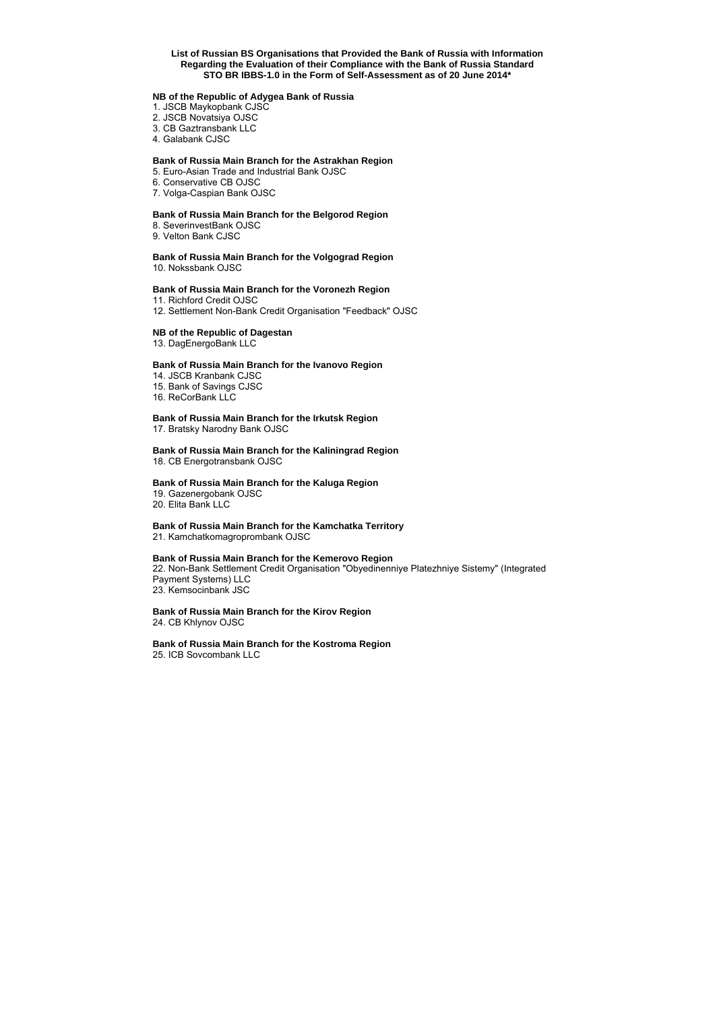## **List of Russian BS Organisations that Provided the Bank of Russia with Information Regarding the Evaluation of their Compliance with the Bank of Russia Standard STO BR IBBS-1.0 in the Form of Self-Assessment as of 20 June 2014\***

#### **NB of the Republic of Adygea Bank of Russia**

- 1. JSCB Maykopbank CJSC
- 2. JSCB Novatsiya OJSC
- 3. CB Gaztransbank LLC
- 4. Galabank CJSC

### **Bank of Russia Main Branch for the Astrakhan Region**

- 5. Euro-Asian Trade and Industrial Bank OJSC
- 6. Conservative CB OJSC
- 7. Volga-Caspian Bank OJSC

#### **Bank of Russia Main Branch for the Belgorod Region**

- 8. SeverinvestBank OJSC
- 9. Velton Bank CJSC

# **Bank of Russia Main Branch for the Volgograd Region**

10. Nokssbank OJSC

## **Bank of Russia Main Branch for the Voronezh Region**

11. Richford Credit OJSC

12. Settlement Non-Bank Credit Organisation "Feedback" OJSC

## **NB of the Republic of Dagestan**

13. DagEnergoBank LLC

#### **Bank of Russia Main Branch for the Ivanovo Region**

14. JSCB Kranbank CJSC

15. Bank of Savings CJSC

16. ReCorBank LLC

## **Bank of Russia Main Branch for the Irkutsk Region**

17. Bratsky Narodny Bank OJSC

## **Bank of Russia Main Branch for the Kaliningrad Region**

18. CB Energotransbank OJSC

#### **Bank of Russia Main Branch for the Kaluga Region**

19. Gazenergobank OJSC 20. Elita Bank LLC

### **Bank of Russia Main Branch for the Kamchatka Territory** 21. Kamchatkomagroprombank OJSC

### **Bank of Russia Main Branch for the Kemerovo Region**

22. Non-Bank Settlement Credit Organisation "Obyedinenniye Platezhniye Sistemy" (Integrated Payment Systems) LLC 23. Kemsocinbank JSC

#### **Bank of Russia Main Branch for the Kirov Region** 24. CB Khlynov OJSC

#### **Bank of Russia Main Branch for the Kostroma Region** 25. ICB Sovcombank LLC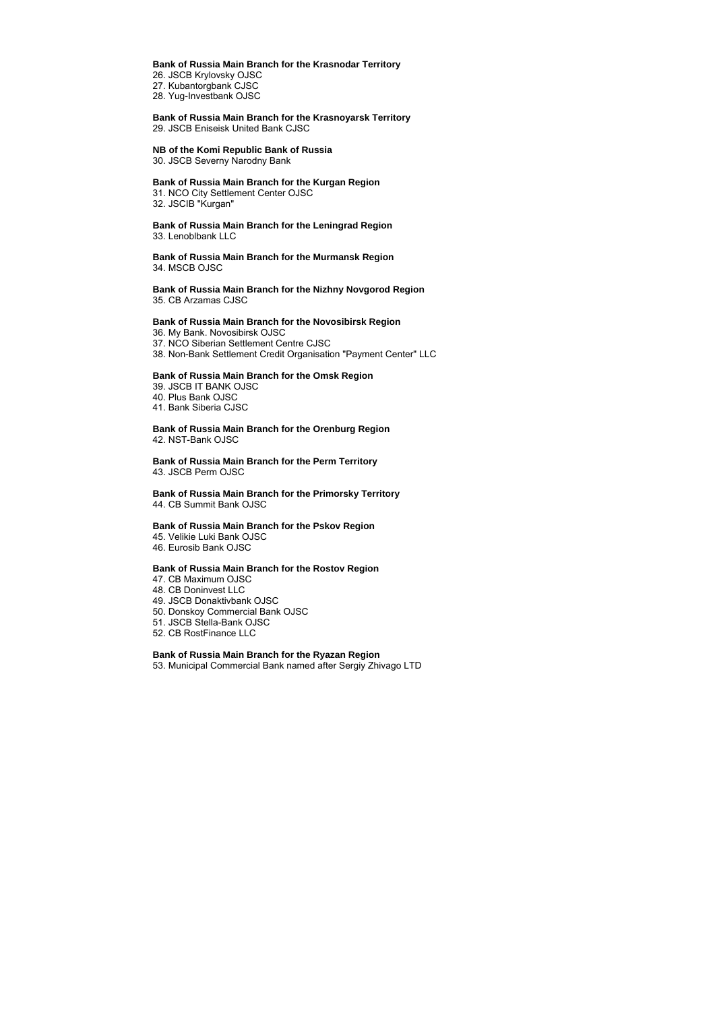#### **Bank of Russia Main Branch for the Krasnodar Territory**

26. JSCB Krylovsky OJSC 27. Kubantorgbank CJSC 28. Yug-Investbank OJSC

**Bank of Russia Main Branch for the Krasnoyarsk Territory** 29. JSCB Eniseisk United Bank CJSC

#### **NB of the Komi Republic Bank of Russia**

30. JSCB Severny Narodny Bank

## **Bank of Russia Main Branch for the Kurgan Region**

31. NCO City Settlement Center OJSC 32. JSCIB "Kurgan"

**Bank of Russia Main Branch for the Leningrad Region** 33. Lenoblbank LLC

**Bank of Russia Main Branch for the Murmansk Region** 34. MSCB OJSC

**Bank of Russia Main Branch for the Nizhny Novgorod Region** 35. CB Arzamas CJSC

#### **Bank of Russia Main Branch for the Novosibirsk Region**

36. My Bank. Novosibirsk OJSC 37. NCO Siberian Settlement Centre CJSC 38. Non-Bank Settlement Credit Organisation "Payment Center" LLC **Bank of Russia Main Branch for the Omsk Region**

39. JSCB IT BANK OJSC 40. Plus Bank OJSC 41. Bank Siberia CJSC

#### **Bank of Russia Main Branch for the Orenburg Region** 42. NST-Bank OJSC

**Bank of Russia Main Branch for the Perm Territory** 43. JSCB Perm OJSC

**Bank of Russia Main Branch for the Primorsky Territory** 44. CB Summit Bank OJSC

### **Bank of Russia Main Branch for the Pskov Region**  45. Velikie Luki Bank OJSC

46. Eurosib Bank OJSC

#### **Bank of Russia Main Branch for the Rostov Region**

- 47. CB Maximum OJSC
- 48. CB Doninvest LLC
- 49. JSCB Donaktivbank OJSC
- 50. Donskoy Commercial Bank OJSC
- 51. JSCB Stella-Bank OJSC
- 52. CB RostFinance LLC

## **Bank of Russia Main Branch for the Ryazan Region**

53. Municipal Commercial Bank named after Sergiy Zhivago LTD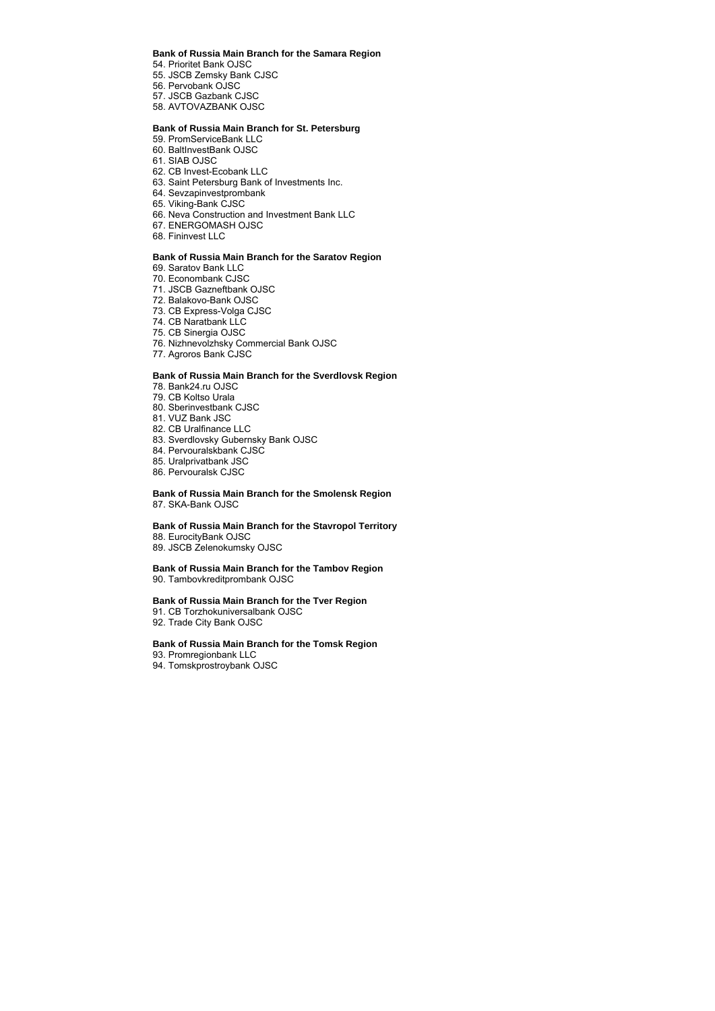#### **Bank of Russia Main Branch for the Samara Region**

54. Prioritet Bank OJSC 55. JSCB Zemsky Bank CJSC 56. Pervobank OJSC 57. JSCB Gazbank CJSC 58. AVTOVAZBANK OJSC

#### **Bank of Russia Main Branch for St. Petersburg**

- 59. PromServiceBank LLC
- 60. BaltInvestBank OJSC
- 61. SIAB OJSC
- 62. CB Invest-Ecobank LLC
- 63. Saint Petersburg Bank of Investments Inc.
- 64. Sevzapinvestprombank
- 65. Viking-Bank CJSC
- 66. Neva Construction and Investment Bank LLC
- 67. ENERGOMASH OJSC
- 68. Fininvest LLC

#### **Bank of Russia Main Branch for the Saratov Region**

- 69. Saratov Bank LLC
- 70. Econombank CJSC
- 71. JSCB Gazneftbank OJSC
- 72. Balakovo-Bank OJSC
- 73. CB Express-Volga CJSC
- 74. CB Naratbank LLC
- 75. CB Sinergia OJSC
- 76. Nizhnevolzhsky Commercial Bank OJSC
- 77. Agroros Bank CJSC

#### **Bank of Russia Main Branch for the Sverdlovsk Region**

- 78. Bank24.ru OJSC
- 79. CB Koltso Urala
- 80. Sberinvestbank CJSC
- 81. VUZ Bank JSC
- 82. CB Uralfinance LLC
- 83. Sverdlovsky Gubernsky Bank OJSC
- 84. Pervouralskbank CJSC
- 85. Uralprivatbank JSC
- 86. Pervouralsk CJSC

#### **Bank of Russia Main Branch for the Smolensk Region** 87. SKA-Bank OJSC

## **Bank of Russia Main Branch for the Stavropol Territory**

- 88. EurocityBank OJSC
- 89. JSCB Zelenokumsky OJSC

#### **Bank of Russia Main Branch for the Tambov Region** 90. Tambovkreditprombank OJSC

#### **Bank of Russia Main Branch for the Tver Region**

- 91. CB Torzhokuniversalbank OJSC
- 92. Trade City Bank OJSC

#### **Bank of Russia Main Branch for the Tomsk Region**

- 93. Promregionbank LLC
- 94. Tomskprostroybank OJSC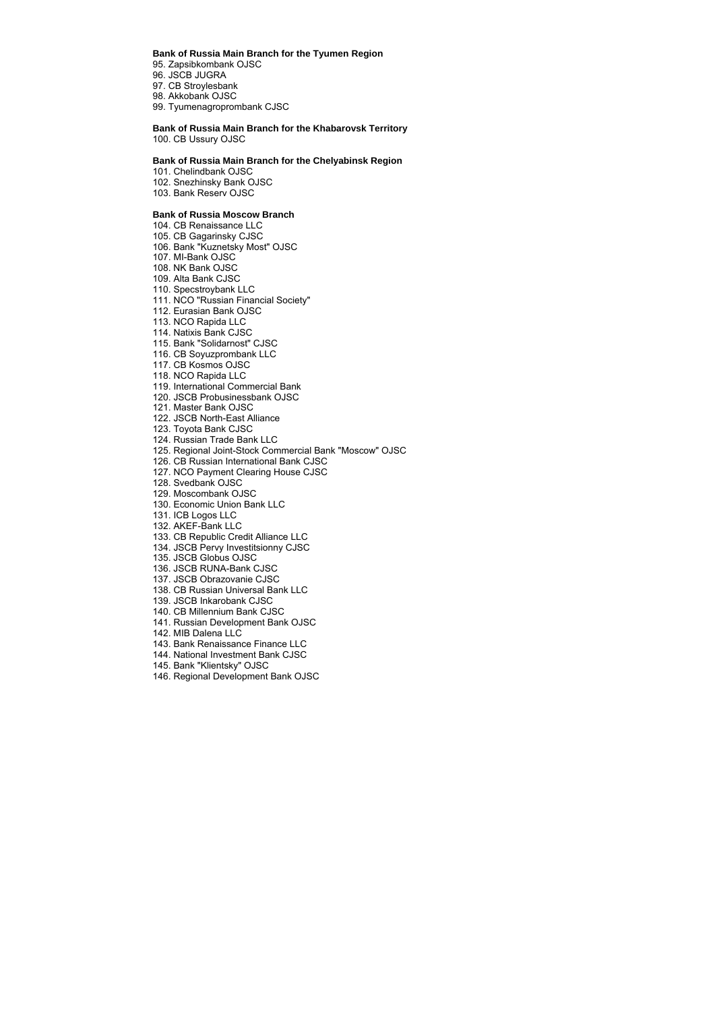**Bank of Russia Main Branch for the Tyumen Region**

95. Zapsibkombank OJSC 96. JSCB JUGRA 97. CB Stroylesbank 98. Akkobank OJSC

99. Tyumenagroprombank CJSC

## **Bank of Russia Main Branch for the Khabarovsk Territory**

100. CB Ussury OJSC

#### **Bank of Russia Main Branch for the Chelyabinsk Region**

101. Chelindbank OJSC 102. Snezhinsky Bank OJSC 103. Bank Reserv OJSC

#### **Bank of Russia Moscow Branch**

- 104. CB Renaissance LLC 105. CB Gagarinsky CJSC 106. Bank "Kuznetsky Most" OJSC 107. MI-Bank OJSC 108. NK Bank OJSC 109. Alta Bank CJSC 110. Specstroybank LLC 111. NCO "Russian Financial Society" 112. Eurasian Bank OJSC 113. NCO Rapida LLC 114. Natixis Bank CJSC 115. Bank "Solidarnost" CJSC 116. CB Soyuzprombank LLC 117. CB Kosmos OJSC 118. NCO Rapida LLC 119. International Commercial Bank 120. JSCB Probusinessbank OJSC 121. Master Bank OJSC 122. JSCB North-East Alliance 123. Toyota Bank CJSC 124. Russian Trade Bank LLC 125. Regional Joint-Stock Commercial Bank "Moscow" OJSC 126. CB Russian International Bank CJSC 127. NCO Payment Clearing House CJSC 128. Svedbank OJSC 129. Moscombank OJSC 130. Economic Union Bank LLC 131. ICB Logos LLC 132. AKEF-Bank LLC 133. CB Republic Credit Alliance LLC 134. JSCB Pervy Investitsionny CJSC 135. JSCB Globus OJSC
- 136. JSCB RUNA-Bank CJSC
- 137. JSCB Obrazovanie CJSC
- 138. CB Russian Universal Bank LLC
- 139. JSCB Inkarobank CJSC
- 140. CB Millennium Bank CJSC
- 141. Russian Development Bank OJSC
- 142. MIB Dalena LLC
- 143. Bank Renaissance Finance LLC
- 144. National Investment Bank CJSC
- 145. Bank "Klientsky" OJSC
- 146. Regional Development Bank OJSC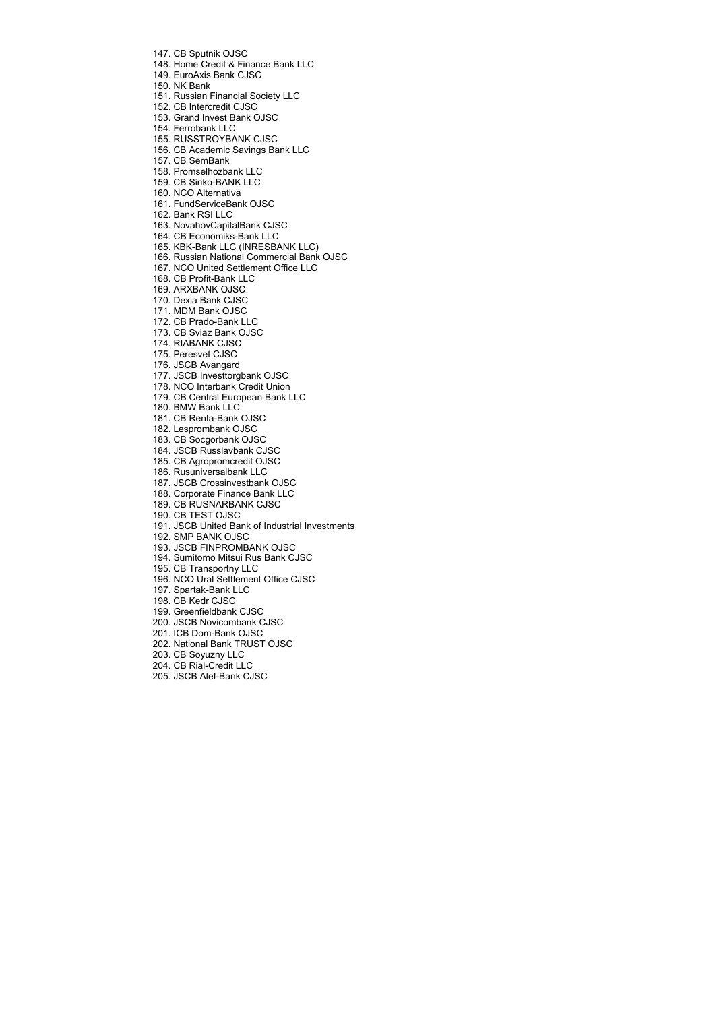147. CB Sputnik OJSC

148. Home Credit & Finance Bank LLC

149. EuroAxis Bank CJSC

150. NK Bank

151. Russian Financial Society LLC

152. CB Intercredit CJSC

153. Grand Invest Bank OJSC

154. Ferrobank LLC

155. RUSSTROYBANK CJSC

156. CB Academic Savings Bank LLC

157. CB SemBank

158. Promselhozbank LLC

159. CB Sinko-BANK LLC

160. NCO Alternativa

161. FundServiceBank OJSC

162. Bank RSI LLC

163. NovahovCapitalBank CJSC

164. CB Economiks-Bank LLC

165. KBK-Bank LLC (INRESBANK LLC)

166. Russian National Commercial Bank OJSC

167. NCO United Settlement Office LLC

168. CB Profit-Bank LLC

169. ARXBANK OJSC

170. Dexia Bank CJSC

171. MDM Bank OJSC

172. CB Prado-Bank LLC

173. CB Sviaz Bank OJSC

174. RIABANK CJSC

175. Peresvet CJSC

176. JSCB Avangard

177. JSCB Investtorgbank OJSC

178. NCO Interbank Credit Union

179. CB Central European Bank LLC

180. BMW Bank LLC

181. CB Renta-Bank OJSC

182. Lesprombank OJSC

183. CB Socgorbank OJSC

184. JSCB Russlavbank CJSC

185. CB Agropromcredit OJSC

186. Rusuniversalbank LLC

187. JSCB Crossinvestbank OJSC

188. Corporate Finance Bank LLC

189. CB RUSNARBANK CJSC

190. CB TEST OJSC

191. JSCB United Bank of Industrial Investments

192. SMP BANK OJSC

193. JSCB FINPROMBANK OJSC

194. Sumitomo Mitsui Rus Bank CJSC

195. CB Transportny LLC

196. NCO Ural Settlement Office CJSC

197. Spartak-Bank LLC

198. CB Kedr CJSC

199. Greenfieldbank CJSC

200. JSCB Novicombank CJSC

201. ICB Dom-Bank OJSC

202. National Bank TRUST OJSC

203. CB Soyuzny LLC

204. CB Rial-Credit LLC

205. JSCB Alef-Bank CJSC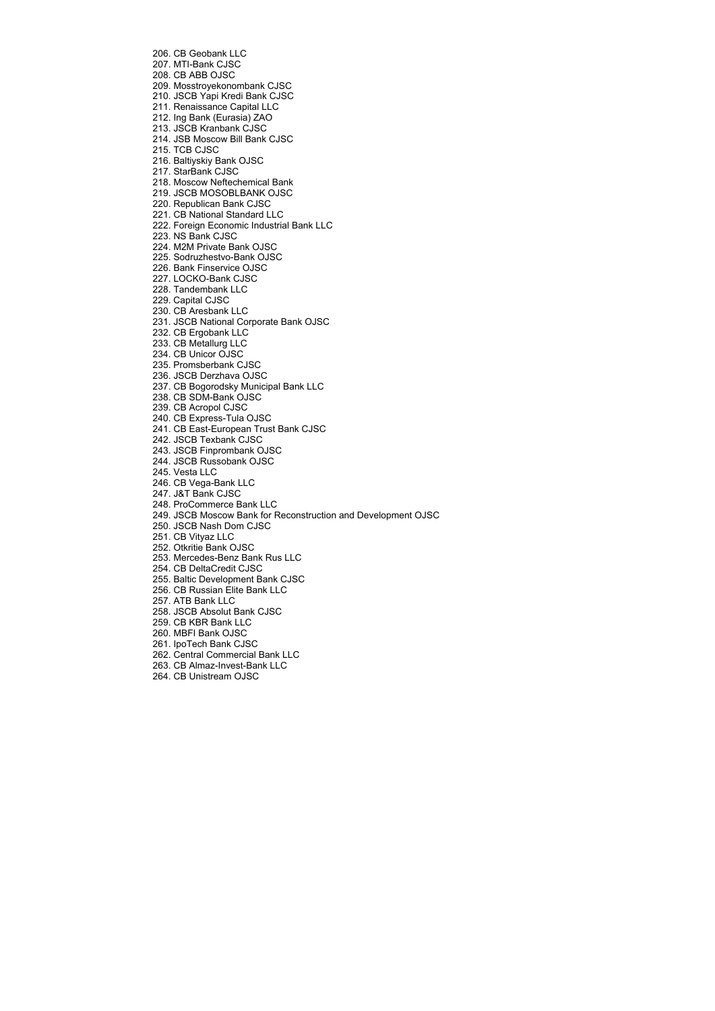206. CB Geobank LLC 207. MTI-Bank CJSC 208. CB ABB OJSC 209. Mosstroyekonombank CJSC 210. JSCB Yapi Kredi Bank CJSC 211. Renaissance Capital LLC 212. Ing Bank (Eurasia) ZAO 213. JSCB Kranbank CJSC 214. JSB Moscow Bill Bank CJSC 215. TCB CJSC 216. Baltiyskiy Bank OJSC 217. StarBank CJSC 218. Moscow Neftechemical Bank 219. JSCB MOSOBLBANK OJSC 220. Republican Bank CJSC 221. CB National Standard LLC 222. Foreign Economic Industrial Bank LLC 223. NS Bank CJSC 224. М2М Private Bank OJSC 225. Sodruzhestvo-Bank OJSC 226. Bank Finservice OJSC 227. LOCKO-Bank CJSC 228. Tandembank LLC 229. Capital CJSC 230. CB Aresbank LLC 231. JSCB National Corporate Bank OJSC 232. CB Ergobank LLC 233. CB Metallurg LLC 234. CB Unicor OJSC 235. Promsberbank CJSC 236. JSCB Derzhava OJSC 237. CB Bogorodsky Municipal Bank LLC 238. CB SDM-Bank OJSC 239. CB Acropol CJSC 240. CB Express-Tula OJSC 241. CB East-European Trust Bank CJSC 242. JSCB Texbank CJSC 243. JSCB Finprombank OJSC 244. JSCB Russobank OJSC 245. Vesta LLC 246. CB Vega-Bank LLC 247. J&T Bank CJSC 248. ProCommerce Bank LLC 249. JSCB Moscow Bank for Reconstruction and Development OJSC 250. JSCB Nash Dom CJSC 251. CB Vityaz LLC 252. Otkritie Bank OJSC 253. Mercedes-Benz Bank Rus LLC 254. CB DeltaCredit CJSC 255. Baltic Development Bank CJSC 256. CB Russian Elite Bank LLC 257. ATB Bank LLC 258. JSCB Absolut Bank CJSC 259. CB KBR Bank LLC 260. MBFI Bank OJSC 261. IpoTech Bank CJSC 262. Central Commercial Bank LLC 263. CB Almaz-Invest-Bank LLC

264. CB Unistream OJSC